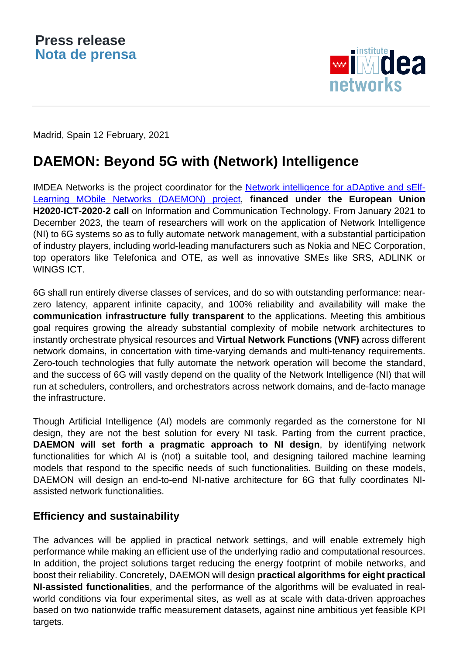

Madrid, Spain 12 February, 2021

## **DAEMON: Beyond 5G with (Network) Intelligence**

IMDEA Networks is the project coordinator for the [Network intelligence for aDAptive and sElf-](https://networks.imdea.org/projects/daemon/)[Learning MObile Networks \(DAEMON\) project,](https://networks.imdea.org/projects/daemon/) **financed under the European Union H2020-ICT-2020-2 call** on Information and Communication Technology. From January 2021 to December 2023, the team of researchers will work on the application of Network Intelligence (NI) to 6G systems so as to fully automate network management, with a substantial participation of industry players, including world-leading manufacturers such as Nokia and NEC Corporation, top operators like Telefonica and OTE, as well as innovative SMEs like SRS, ADLINK or WINGS ICT.

6G shall run entirely diverse classes of services, and do so with outstanding performance: nearzero latency, apparent infinite capacity, and 100% reliability and availability will make the **communication infrastructure fully transparent** to the applications. Meeting this ambitious goal requires growing the already substantial complexity of mobile network architectures to instantly orchestrate physical resources and **Virtual Network Functions (VNF)** across different network domains, in concertation with time-varying demands and multi-tenancy requirements. Zero-touch technologies that fully automate the network operation will become the standard, and the success of 6G will vastly depend on the quality of the Network Intelligence (NI) that will run at schedulers, controllers, and orchestrators across network domains, and de-facto manage the infrastructure.

Though Artificial Intelligence (AI) models are commonly regarded as the cornerstone for NI design, they are not the best solution for every NI task. Parting from the current practice, **DAEMON will set forth a pragmatic approach to NI design**, by identifying network functionalities for which AI is (not) a suitable tool, and designing tailored machine learning models that respond to the specific needs of such functionalities. Building on these models, DAEMON will design an end-to-end NI-native architecture for 6G that fully coordinates NIassisted network functionalities.

## **Efficiency and sustainability**

The advances will be applied in practical network settings, and will enable extremely high performance while making an efficient use of the underlying radio and computational resources. In addition, the project solutions target reducing the energy footprint of mobile networks, and boost their reliability. Concretely, DAEMON will design **practical algorithms for eight practical NI-assisted functionalities**, and the performance of the algorithms will be evaluated in realworld conditions via four experimental sites, as well as at scale with data-driven approaches based on two nationwide traffic measurement datasets, against nine ambitious yet feasible KPI targets.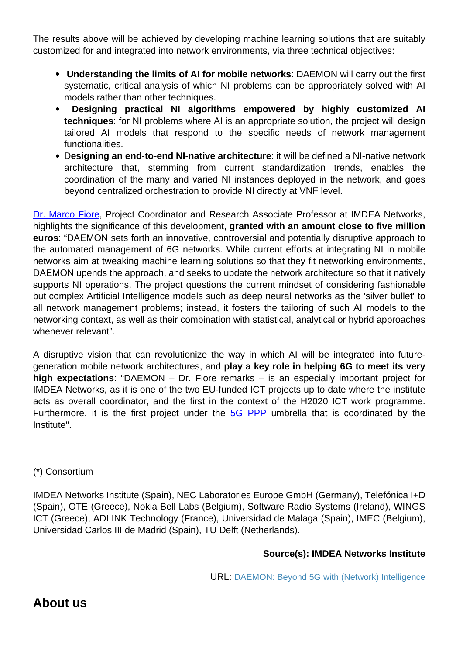The results above will be achieved by developing machine learning solutions that are suitably customized for and integrated into network environments, via three technical objectives:

- **Understanding the limits of AI for mobile networks**: DAEMON will carry out the first systematic, critical analysis of which NI problems can be appropriately solved with AI models rather than other techniques.
- **Designing practical NI algorithms empowered by highly customized AI techniques**: for NI problems where AI is an appropriate solution, the project will design tailored AI models that respond to the specific needs of network management functionalities.
- D**esigning an end-to-end NI-native architecture**: it will be defined a NI-native network architecture that, stemming from current standardization trends, enables the coordination of the many and varied NI instances deployed in the network, and goes beyond centralized orchestration to provide NI directly at VNF level.

[Dr. Marco Fiore,](https://networks.imdea.org/team/imdea-networks-team/people/marco-fiore/) Project Coordinator and Research Associate Professor at IMDEA Networks, highlights the significance of this development, **granted with an amount close to five million euros**: "DAEMON sets forth an innovative, controversial and potentially disruptive approach to the automated management of 6G networks. While current efforts at integrating NI in mobile networks aim at tweaking machine learning solutions so that they fit networking environments, DAEMON upends the approach, and seeks to update the network architecture so that it natively supports NI operations. The project questions the current mindset of considering fashionable but complex Artificial Intelligence models such as deep neural networks as the 'silver bullet' to all network management problems; instead, it fosters the tailoring of such AI models to the networking context, as well as their combination with statistical, analytical or hybrid approaches whenever relevant".

A disruptive vision that can revolutionize the way in which AI will be integrated into futuregeneration mobile network architectures, and **play a key role in helping 6G to meet its very high expectations**: "DAEMON – Dr. Fiore remarks – is an especially important project for IMDEA Networks, as it is one of the two EU-funded ICT projects up to date where the institute acts as overall coordinator, and the first in the context of the H2020 ICT work programme. Furthermore, it is the first project under the **5G PPP** umbrella that is coordinated by the Institute".

## (\*) Consortium

IMDEA Networks Institute (Spain), NEC Laboratories Europe GmbH (Germany), Telefónica I+D (Spain), OTE (Greece), Nokia Bell Labs (Belgium), Software Radio Systems (Ireland), WINGS ICT (Greece), ADLINK Technology (France), Universidad de Malaga (Spain), IMEC (Belgium), Universidad Carlos III de Madrid (Spain), TU Delft (Netherlands).

## **Source(s): IMDEA Networks Institute**

URL: [DAEMON: Beyond 5G with \(Network\) Intelligence](https://networks.imdea.org/daemon-beyond-5g-with-network-intelligence/)